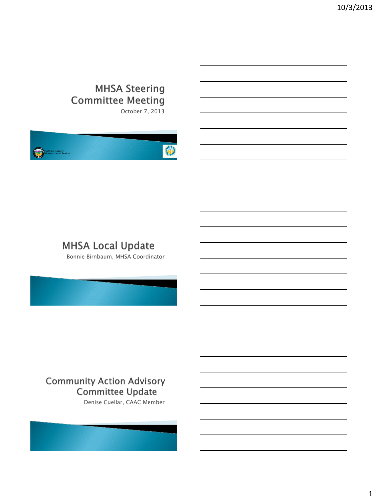# **MHSA Steering Committee Meeting**

October 7, 2013



## **MHSA Local Update**

Bonnie Birnbaum, MHSA Coordinator

## **Community Action Advisory Committee Update**

Denise Cuellar, CAAC Member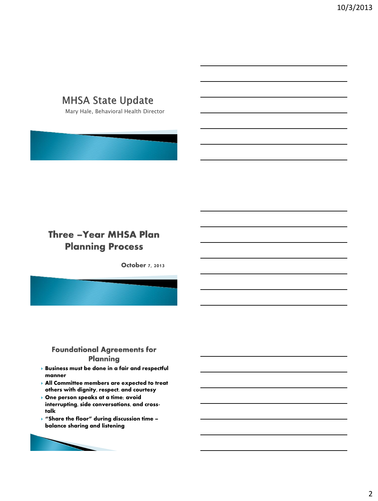# **MHSA State Update**

Mary Hale, Behavioral Health Director

## **Three - Year MHSA Plan Planning Process**

October 7, 2013

### **Foundational Agreements for Planning**

- **Business must be done in a fair and respectful manner**
- **All Committee members are expected to treat others with dignity, respect, and courtesy**
- **One person speaks at a time; avoid interrupting, side conversations, and crosstalk**
- **"Share the floor" during discussion time – balance sharing and listening**

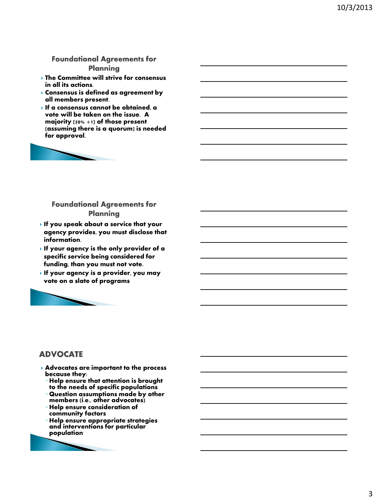#### **Foundational Agreements for Planning**

- **The Committee will strive for consensus in all its actions.**
- **Consensus is defined as agreement by all members present.**
- **If a consensus cannot be obtained, a vote will be taken on the issue. A majority (50% +1) of those present (assuming there is a quorum) is needed for approval.**



#### **Foundational Agreements for Planning**

- **If you speak about a service that your agency provides, you must disclose that information.**
- **If your agency is the only provider of a specific service being considered for funding, than you must not vote.**
- **If your agency is a provider, you may vote on a slate of programs**



## **ADVOCATE**

- Advocates are important to the process because they:
	- Help ensure that attention is brought to the needs of specific populations
	- Question assumptions made by other members (i.e., other advocates)
	- Help ensure consideration of community factors
	- Help ensure appropriate strategies and interventions for particular population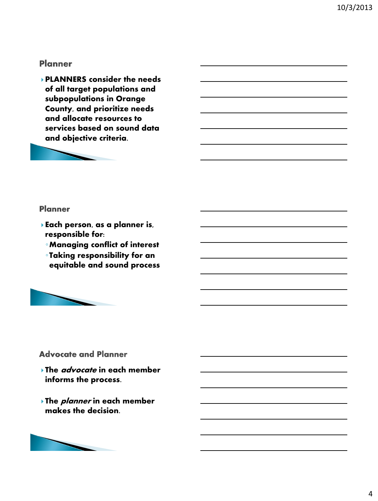### **Planner**

PLANNERS consider the needs of all target populations and subpopulations in Orange County, and prioritize needs and allocate resources to services based on sound data and objective criteria.



#### **Planner**

- Each person, as a planner is, responsible for:
	- ◦Managing conflict of interest
	- ◦Taking responsibility for an equitable and sound process



## **Advocate and Planner**

- The **advocate** in each member informs the process.
- The **planner** in each member makes the decision.